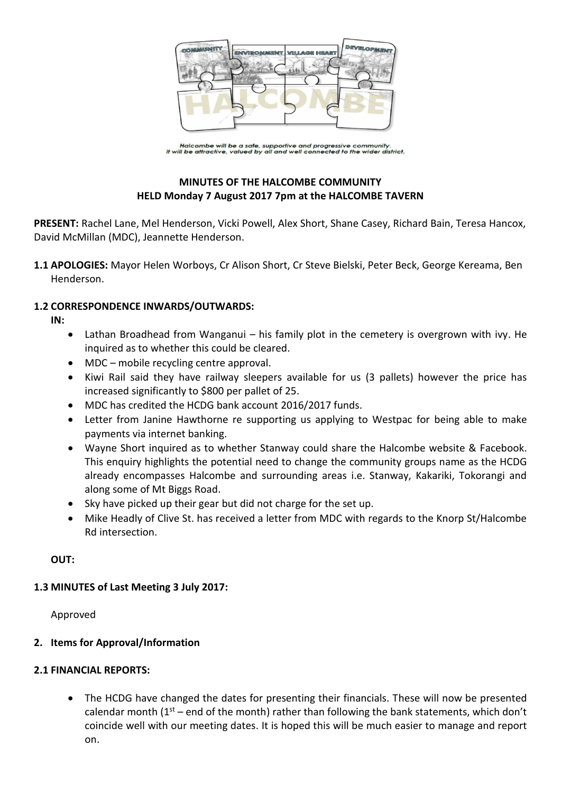

Halcombe will be a safe, supportive and progressive community.<br>It will be attractive, valued by all and well connected to the wider district.

# **MINUTES OF THE HALCOMBE COMMUNITY HELD Monday 7 August 2017 7pm at the HALCOMBE TAVERN**

**PRESENT:** Rachel Lane, Mel Henderson, Vicki Powell, Alex Short, Shane Casey, Richard Bain, Teresa Hancox, David McMillan (MDC), Jeannette Henderson.

**1.1 APOLOGIES:** Mayor Helen Worboys, Cr Alison Short, Cr Steve Bielski, Peter Beck, George Kereama, Ben Henderson.

#### **1.2 CORRESPONDENCE INWARDS/OUTWARDS:**

**IN:** 

- Lathan Broadhead from Wanganui his family plot in the cemetery is overgrown with ivy. He inquired as to whether this could be cleared.
- MDC mobile recycling centre approval.
- Kiwi Rail said they have railway sleepers available for us (3 pallets) however the price has increased significantly to \$800 per pallet of 25.
- MDC has credited the HCDG bank account 2016/2017 funds.
- Letter from Janine Hawthorne re supporting us applying to Westpac for being able to make payments via internet banking.
- Wayne Short inquired as to whether Stanway could share the Halcombe website & Facebook. This enquiry highlights the potential need to change the community groups name as the HCDG already encompasses Halcombe and surrounding areas i.e. Stanway, Kakariki, Tokorangi and along some of Mt Biggs Road.
- Sky have picked up their gear but did not charge for the set up.
- Mike Headly of Clive St. has received a letter from MDC with regards to the Knorp St/Halcombe Rd intersection.

**OUT:**

## **1.3 MINUTES of Last Meeting 3 July 2017:**

Approved

## **2. Items for Approval/Information**

## **2.1 FINANCIAL REPORTS:**

 The HCDG have changed the dates for presenting their financials. These will now be presented calendar month ( $1<sup>st</sup>$  – end of the month) rather than following the bank statements, which don't coincide well with our meeting dates. It is hoped this will be much easier to manage and report on.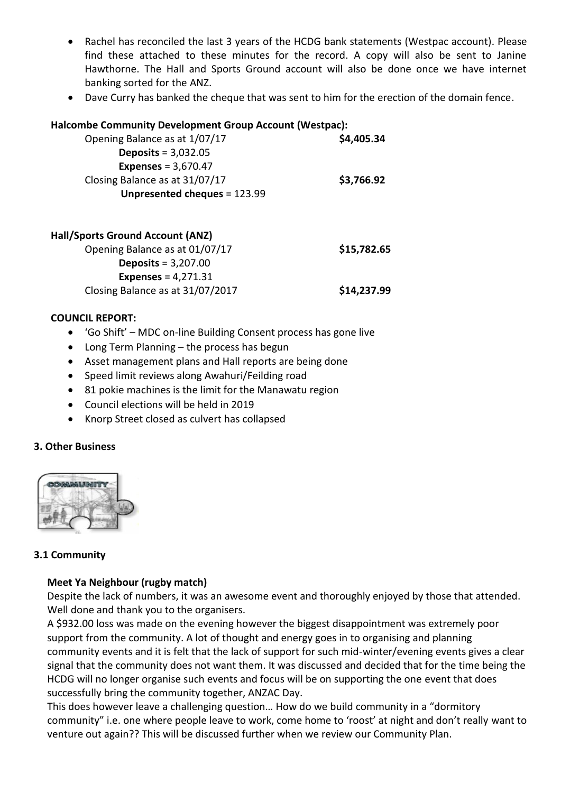- Rachel has reconciled the last 3 years of the HCDG bank statements (Westpac account). Please find these attached to these minutes for the record. A copy will also be sent to Janine Hawthorne. The Hall and Sports Ground account will also be done once we have internet banking sorted for the ANZ.
- Dave Curry has banked the cheque that was sent to him for the erection of the domain fence.

#### **Halcombe Community Development Group Account (Westpac):**

| Opening Balance as at 1/07/17  |                              |  | \$4,405.34 |
|--------------------------------|------------------------------|--|------------|
| Deposits = $3,032.05$          |                              |  |            |
| <b>Expenses</b> = $3,670.47$   |                              |  |            |
| Closing Balance as at 31/07/17 |                              |  | \$3,766.92 |
|                                | Unpresented cheques = 123.99 |  |            |
|                                |                              |  |            |

| <b>Hall/Sports Ground Account (ANZ)</b> |             |
|-----------------------------------------|-------------|
| Opening Balance as at 01/07/17          | \$15,782.65 |
| Deposits = $3,207.00$                   |             |
| <b>Expenses</b> = $4,271.31$            |             |
| Closing Balance as at 31/07/2017        | \$14,237.99 |

#### **COUNCIL REPORT:**

- 'Go Shift' MDC on-line Building Consent process has gone live
- Long Term Planning the process has begun
- Asset management plans and Hall reports are being done
- Speed limit reviews along Awahuri/Feilding road
- 81 pokie machines is the limit for the Manawatu region
- Council elections will be held in 2019
- Knorp Street closed as culvert has collapsed

## **3. Other Business**



## **3.1 Community**

## **Meet Ya Neighbour (rugby match)**

Despite the lack of numbers, it was an awesome event and thoroughly enjoyed by those that attended. Well done and thank you to the organisers.

A \$932.00 loss was made on the evening however the biggest disappointment was extremely poor support from the community. A lot of thought and energy goes in to organising and planning community events and it is felt that the lack of support for such mid-winter/evening events gives a clear signal that the community does not want them. It was discussed and decided that for the time being the HCDG will no longer organise such events and focus will be on supporting the one event that does successfully bring the community together, ANZAC Day.

This does however leave a challenging question… How do we build community in a "dormitory community" i.e. one where people leave to work, come home to 'roost' at night and don't really want to venture out again?? This will be discussed further when we review our Community Plan.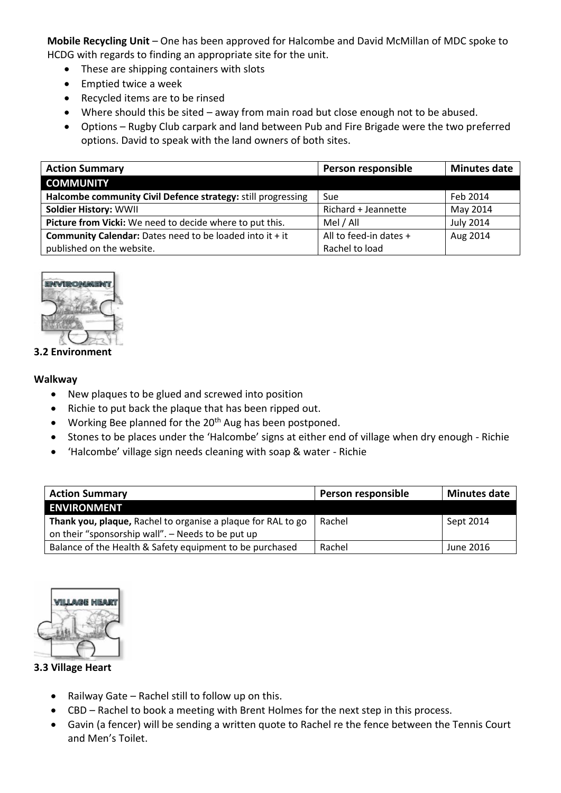**Mobile Recycling Unit** – One has been approved for Halcombe and David McMillan of MDC spoke to HCDG with regards to finding an appropriate site for the unit.

- These are shipping containers with slots
- Emptied twice a week
- Recycled items are to be rinsed
- Where should this be sited away from main road but close enough not to be abused.
- Options Rugby Club carpark and land between Pub and Fire Brigade were the two preferred options. David to speak with the land owners of both sites.

| <b>Action Summary</b>                                             | Person responsible     | <b>Minutes date</b> |
|-------------------------------------------------------------------|------------------------|---------------------|
| <b>COMMUNITY</b>                                                  |                        |                     |
| Halcombe community Civil Defence strategy: still progressing      | Sue                    | Feb 2014            |
| <b>Soldier History: WWII</b>                                      | Richard + Jeannette    | May 2014            |
| Picture from Vicki: We need to decide where to put this.          | Mel / All              | <b>July 2014</b>    |
| <b>Community Calendar:</b> Dates need to be loaded into it $+$ it | All to feed-in dates + | Aug 2014            |
| published on the website.                                         | Rachel to load         |                     |



#### **3.2 Environment**

#### **Walkway**

- New plaques to be glued and screwed into position
- Richie to put back the plaque that has been ripped out.
- Working Bee planned for the  $20<sup>th</sup>$  Aug has been postponed.
- Stones to be places under the 'Halcombe' signs at either end of village when dry enough Richie
- 'Halcombe' village sign needs cleaning with soap & water Richie

| <b>Action Summary</b>                                        | Person responsible | <b>Minutes date</b> |
|--------------------------------------------------------------|--------------------|---------------------|
| <b>ENVIRONMENT</b>                                           |                    |                     |
| Thank you, plaque, Rachel to organise a plaque for RAL to go | Rachel             | Sept 2014           |
| on their "sponsorship wall". - Needs to be put up            |                    |                     |
| Balance of the Health & Safety equipment to be purchased     | Rachel             | June 2016           |



#### **3.3 Village Heart**

- Railway Gate Rachel still to follow up on this.
- CBD Rachel to book a meeting with Brent Holmes for the next step in this process.
- Gavin (a fencer) will be sending a written quote to Rachel re the fence between the Tennis Court and Men's Toilet.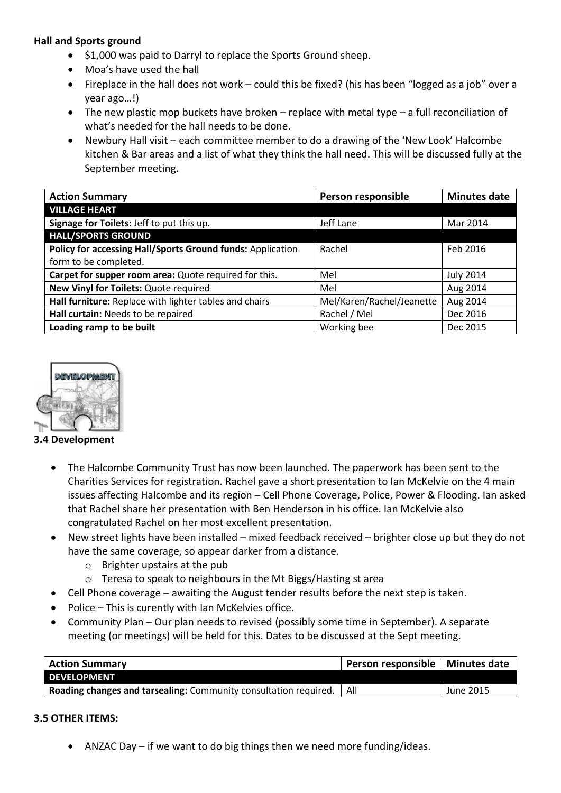## **Hall and Sports ground**

- \$1,000 was paid to Darryl to replace the Sports Ground sheep.
- Moa's have used the hall
- Fireplace in the hall does not work could this be fixed? (his has been "logged as a job" over a year ago…!)
- The new plastic mop buckets have broken replace with metal type a full reconciliation of what's needed for the hall needs to be done.
- Newbury Hall visit each committee member to do a drawing of the 'New Look' Halcombe kitchen & Bar areas and a list of what they think the hall need. This will be discussed fully at the September meeting.

| <b>Action Summary</b>                                      | Person responsible        | <b>Minutes date</b> |
|------------------------------------------------------------|---------------------------|---------------------|
| <b>VILLAGE HEART</b>                                       |                           |                     |
| Signage for Toilets: Jeff to put this up.                  | Jeff Lane                 | Mar 2014            |
| <b>HALL/SPORTS GROUND</b>                                  |                           |                     |
| Policy for accessing Hall/Sports Ground funds: Application | Rachel                    | Feb 2016            |
| form to be completed.                                      |                           |                     |
| Carpet for supper room area: Quote required for this.      | Mel                       | <b>July 2014</b>    |
| New Vinyl for Toilets: Quote required                      | Mel                       | Aug 2014            |
| Hall furniture: Replace with lighter tables and chairs     | Mel/Karen/Rachel/Jeanette | Aug 2014            |
| Hall curtain: Needs to be repaired                         | Rachel / Mel              | Dec 2016            |
| Loading ramp to be built                                   | Working bee               | Dec 2015            |



#### **3.4 Development**

- The Halcombe Community Trust has now been launched. The paperwork has been sent to the Charities Services for registration. Rachel gave a short presentation to Ian McKelvie on the 4 main issues affecting Halcombe and its region – Cell Phone Coverage, Police, Power & Flooding. Ian asked that Rachel share her presentation with Ben Henderson in his office. Ian McKelvie also congratulated Rachel on her most excellent presentation.
- New street lights have been installed mixed feedback received brighter close up but they do not have the same coverage, so appear darker from a distance.
	- o Brighter upstairs at the pub
	- o Teresa to speak to neighbours in the Mt Biggs/Hasting st area
- Cell Phone coverage awaiting the August tender results before the next step is taken.
- Police This is curently with Ian McKelvies office.
- Community Plan Our plan needs to revised (possibly some time in September). A separate meeting (or meetings) will be held for this. Dates to be discussed at the Sept meeting.

| <b>Action Summary</b>                                                         | Person responsible   Minutes date |           |
|-------------------------------------------------------------------------------|-----------------------------------|-----------|
| <b>DEVELOPMENT</b>                                                            |                                   |           |
| <b>Roading changes and tarsealing:</b> Community consultation required.   All |                                   | June 2015 |

## **3.5 OTHER ITEMS:**

ANZAC Day – if we want to do big things then we need more funding/ideas.